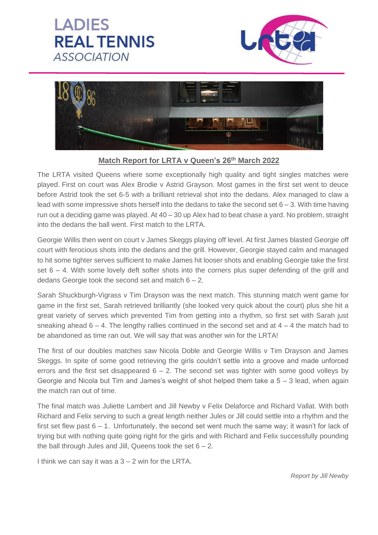## **LADIES REAL TENNIS ASSOCIATION**





## **Match Report for LRTA v Queen's 26th March 2022**

The LRTA visited Queens where some exceptionally high quality and tight singles matches were played. First on court was Alex Brodie v Astrid Grayson. Most games in the first set went to deuce before Astrid took the set 6-5 with a brilliant retrieval shot into the dedans. Alex managed to claw a lead with some impressive shots herself into the dedans to take the second set  $6 - 3$ . With time having run out a deciding game was played. At  $40 - 30$  up Alex had to beat chase a yard. No problem, straight into the dedans the ball went. First match to the LRTA*.*

Georgie Willis then went on court v James Skeggs playing off level. At first James blasted Georgie off court with ferocious shots into the dedans and the grill. However, Georgie stayed calm and managed to hit some tighter serves sufficient to make James hit looser shots and enabling Georgie take the first set  $6 - 4$ . With some lovely deft softer shots into the corners plus super defending of the grill and dedans Georgie took the second set and match  $6 - 2$ .

Sarah Shuckburgh-Vigrass v Tim Drayson was the next match. This stunning match went game for game in the first set, Sarah retrieved brilliantly (she looked very quick about the court) plus she hit a great variety of serves which prevented Tim from getting into a rhythm, so first set with Sarah just sneaking ahead  $6 - 4$ . The lengthy rallies continued in the second set and at  $4 - 4$  the match had to be abandoned as time ran out. We will say that was another win for the LRTA!

The first of our doubles matches saw Nicola Doble and Georgie Willis v Tim Drayson and James Skeggs. In spite of some good retrieving the girls couldn't settle into a groove and made unforced errors and the first set disappeared  $6 - 2$ . The second set was tighter with some good volleys by Georgie and Nicola but Tim and James's weight of shot helped them take a 5 – 3 lead, when again the match ran out of time.

The final match was Juliette Lambert and Jill Newby v Felix Delaforce and Richard Vallat. With both Richard and Felix serving to such a great length neither Jules or Jill could settle into a rhythm and the first set flew past 6 – 1. Unfortunately, the second set went much the same way; it wasn't for lack of trying but with nothing quite going right for the girls and with Richard and Felix successfully pounding the ball through Jules and Jill, Queens took the set  $6 - 2$ .

I think we can say it was a  $3 - 2$  win for the LRTA.